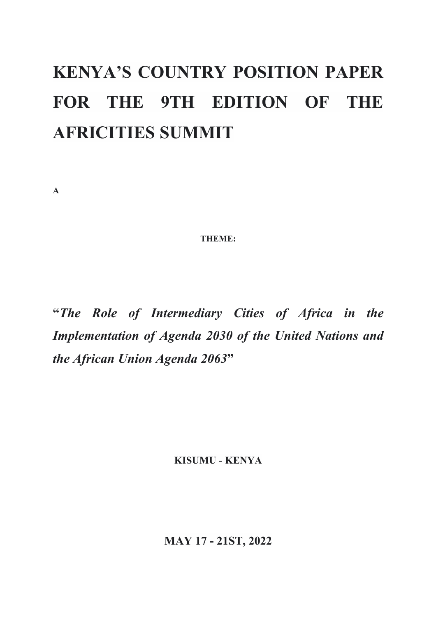# **KENYA'S COUNTRY POSITION PAPER FOR THE 9TH EDITION OF THE AFRICITIES SUMMIT**

**A**

**THEME:**

**"***The Role of Intermediary Cities of Africa in the Implementation of Agenda 2030 of the United Nations and the African Union Agenda 2063***"**

**KISUMU - KENYA**

**MAY 17 - 21ST, 2022**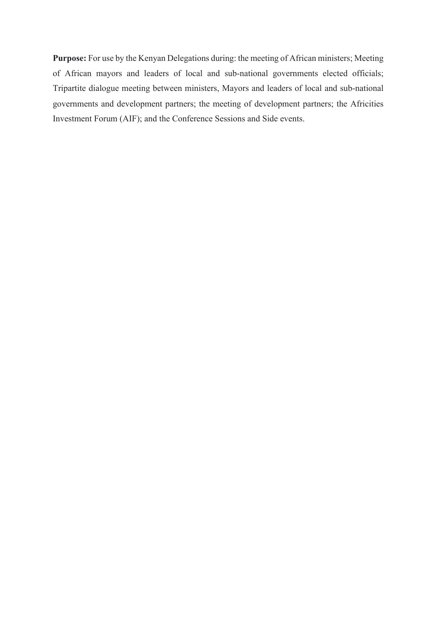Purpose: For use by the Kenyan Delegations during: the meeting of African ministers; Meeting of African mayors and leaders of local and sub-national governments elected officials; Tripartite dialogue meeting between ministers, Mayors and leaders of local and sub-national governments and development partners; the meeting of development partners; the Africities Investment Forum (AIF); and the Conference Sessions and Side events.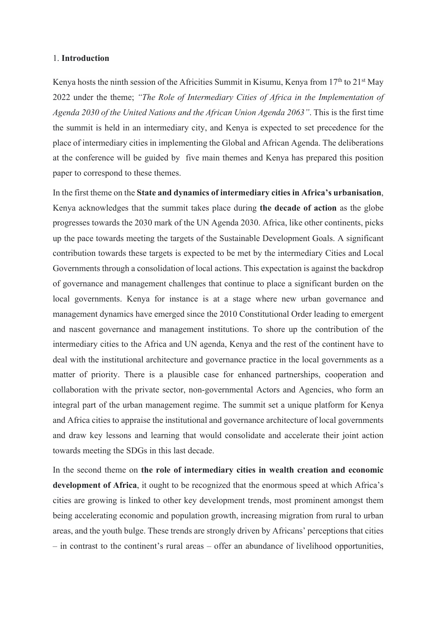#### 1. **Introduction**

Kenya hosts the ninth session of the Africities Summit in Kisumu, Kenya from  $17<sup>th</sup>$  to  $21<sup>st</sup>$  May 2022 under the theme; *"The Role of Intermediary Cities of Africa in the Implementation of Agenda 2030 of the United Nations and the African Union Agenda 2063"*. This is the first time the summit is held in an intermediary city, and Kenya is expected to set precedence for the place of intermediary cities in implementing the Global and African Agenda. The deliberations at the conference will be guided by five main themes and Kenya has prepared this position paper to correspond to these themes.

In the first theme on the **State and dynamics of intermediary cities in Africa's urbanisation**, Kenya acknowledges that the summit takes place during **the decade of action** as the globe progresses towards the 2030 mark of the UN Agenda 2030. Africa, like other continents, picks up the pace towards meeting the targets of the Sustainable Development Goals. A significant contribution towards these targets is expected to be met by the intermediary Cities and Local Governments through a consolidation of local actions. This expectation is against the backdrop of governance and management challenges that continue to place a significant burden on the local governments. Kenya for instance is at a stage where new urban governance and management dynamics have emerged since the 2010 Constitutional Order leading to emergent and nascent governance and management institutions. To shore up the contribution of the intermediary cities to the Africa and UN agenda, Kenya and the rest of the continent have to deal with the institutional architecture and governance practice in the local governments as a matter of priority. There is a plausible case for enhanced partnerships, cooperation and collaboration with the private sector, non-governmental Actors and Agencies, who form an integral part of the urban management regime. The summit set a unique platform for Kenya and Africa cities to appraise the institutional and governance architecture of local governments and draw key lessons and learning that would consolidate and accelerate their joint action towards meeting the SDGs in this last decade.

In the second theme on **the role of intermediary cities in wealth creation and economic development of Africa**, it ought to be recognized that the enormous speed at which Africa's cities are growing is linked to other key development trends, most prominent amongst them being accelerating economic and population growth, increasing migration from rural to urban areas, and the youth bulge. These trends are strongly driven by Africans' perceptions that cities – in contrast to the continent's rural areas – offer an abundance of livelihood opportunities,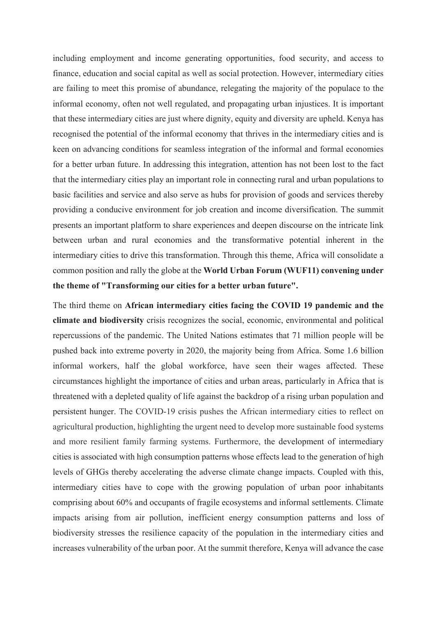including employment and income generating opportunities, food security, and access to finance, education and social capital as well as social protection. However, intermediary cities are failing to meet this promise of abundance, relegating the majority of the populace to the informal economy, often not well regulated, and propagating urban injustices. It is important that these intermediary cities are just where dignity, equity and diversity are upheld. Kenya has recognised the potential of the informal economy that thrives in the intermediary cities and is keen on advancing conditions for seamless integration of the informal and formal economies for a better urban future. In addressing this integration, attention has not been lost to the fact that the intermediary cities play an important role in connecting rural and urban populations to basic facilities and service and also serve as hubs for provision of goods and services thereby providing a conducive environment for job creation and income diversification. The summit presents an important platform to share experiences and deepen discourse on the intricate link between urban and rural economies and the transformative potential inherent in the intermediary cities to drive this transformation. Through this theme, Africa will consolidate a common position and rally the globe at the **World Urban Forum (WUF11) convening under the theme of "Transforming our cities for a better urban future".**

The third theme on **African intermediary cities facing the COVID 19 pandemic and the climate and biodiversity** crisis recognizes the social, economic, environmental and political repercussions of the pandemic. The United Nations estimates that 71 million people will be pushed back into extreme poverty in 2020, the majority being from Africa. Some 1.6 billion informal workers, half the global workforce, have seen their wages affected. These circumstances highlight the importance of cities and urban areas, particularly in Africa that is threatened with a depleted quality of life against the backdrop of a rising urban population and persistent hunger. The COVID-19 crisis pushes the African intermediary cities to reflect on agricultural production, highlighting the urgent need to develop more sustainable food systems and more resilient family farming systems. Furthermore, the development of intermediary cities is associated with high consumption patterns whose effects lead to the generation of high levels of GHGs thereby accelerating the adverse climate change impacts. Coupled with this, intermediary cities have to cope with the growing population of urban poor inhabitants comprising about 60% and occupants of fragile ecosystems and informal settlements. Climate impacts arising from air pollution, inefficient energy consumption patterns and loss of biodiversity stresses the resilience capacity of the population in the intermediary cities and increases vulnerability of the urban poor. At the summit therefore, Kenya will advance the case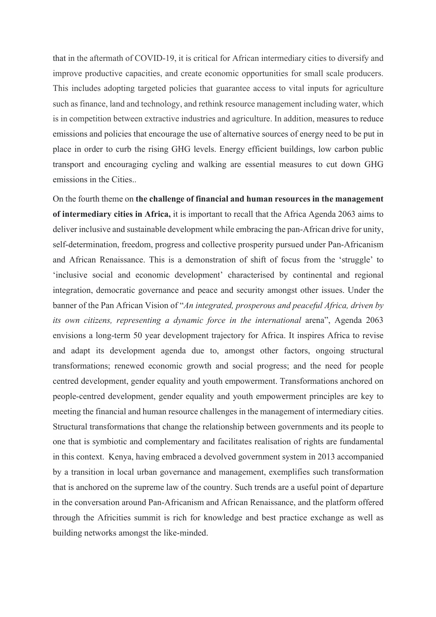that in the aftermath of COVID-19, it is critical for African intermediary cities to diversify and improve productive capacities, and create economic opportunities for small scale producers. This includes adopting targeted policies that guarantee access to vital inputs for agriculture such as finance, land and technology, and rethink resource management including water, which is in competition between extractive industries and agriculture. In addition, measures to reduce emissions and policies that encourage the use of alternative sources of energy need to be put in place in order to curb the rising GHG levels. Energy efficient buildings, low carbon public transport and encouraging cycling and walking are essential measures to cut down GHG emissions in the Cities..

On the fourth theme on **the challenge of financial and human resources in the management of intermediary cities in Africa,** it is important to recall that the Africa Agenda 2063 aims to deliver inclusive and sustainable development while embracing the pan-African drive for unity, self-determination, freedom, progress and collective prosperity pursued under Pan-Africanism and African Renaissance. This is a demonstration of shift of focus from the 'struggle' to 'inclusive social and economic development' characterised by continental and regional integration, democratic governance and peace and security amongst other issues. Under the banner of the Pan African Vision of "*An integrated, prosperous and peaceful Africa, driven by its own citizens, representing a dynamic force in the international* arena", Agenda 2063 envisions a long-term 50 year development trajectory for Africa. It inspires Africa to revise and adapt its development agenda due to, amongst other factors, ongoing structural transformations; renewed economic growth and social progress; and the need for people centred development, gender equality and youth empowerment. Transformations anchored on people-centred development, gender equality and youth empowerment principles are key to meeting the financial and human resource challenges in the management of intermediary cities. Structural transformations that change the relationship between governments and its people to one that is symbiotic and complementary and facilitates realisation of rights are fundamental in this context. Kenya, having embraced a devolved government system in 2013 accompanied by a transition in local urban governance and management, exemplifies such transformation that is anchored on the supreme law of the country. Such trends are a useful point of departure in the conversation around Pan-Africanism and African Renaissance, and the platform offered through the Africities summit is rich for knowledge and best practice exchange as well as building networks amongst the like-minded.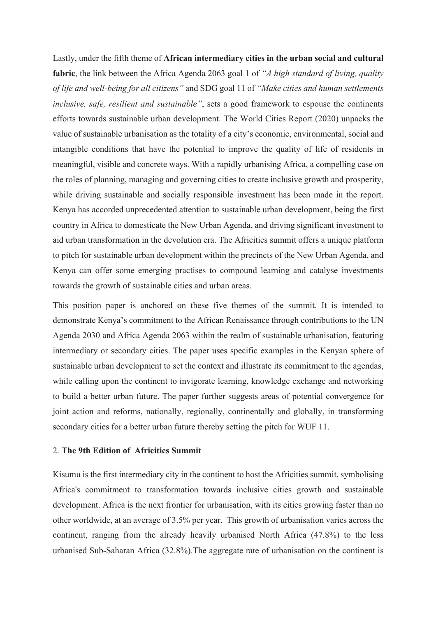Lastly, under the fifth theme of **African intermediary cities in the urban social and cultural fabric**, the link between the Africa Agenda 2063 goal 1 of *"A high standard of living, quality of life and well-being for all citizens"* and SDG goal 11 of *"Make cities and human settlements inclusive, safe, resilient and sustainable"*, sets a good framework to espouse the continents efforts towards sustainable urban development. The World Cities Report (2020) unpacks the value of sustainable urbanisation as the totality of a city's economic, environmental, social and intangible conditions that have the potential to improve the quality of life of residents in meaningful, visible and concrete ways. With a rapidly urbanising Africa, a compelling case on the roles of planning, managing and governing cities to create inclusive growth and prosperity, while driving sustainable and socially responsible investment has been made in the report. Kenya has accorded unprecedented attention to sustainable urban development, being the first country in Africa to domesticate the New Urban Agenda, and driving significant investment to aid urban transformation in the devolution era. The Africities summit offers a unique platform to pitch for sustainable urban development within the precincts of the New Urban Agenda, and Kenya can offer some emerging practises to compound learning and catalyse investments towards the growth of sustainable cities and urban areas.

This position paper is anchored on these five themes of the summit. It is intended to demonstrate Kenya's commitment to the African Renaissance through contributions to the UN Agenda 2030 and Africa Agenda 2063 within the realm of sustainable urbanisation, featuring intermediary or secondary cities. The paper uses specific examples in the Kenyan sphere of sustainable urban development to set the context and illustrate its commitment to the agendas, while calling upon the continent to invigorate learning, knowledge exchange and networking to build a better urban future. The paper further suggests areas of potential convergence for joint action and reforms, nationally, regionally, continentally and globally, in transforming secondary cities for a better urban future thereby setting the pitch for WUF 11.

#### 2. **The 9th Edition of Africities Summit**

Kisumu is the first intermediary city in the continent to host the Africities summit, symbolising Africa's commitment to transformation towards inclusive cities growth and sustainable development. Africa is the next frontier for urbanisation, with its cities growing faster than no other worldwide, at an average of 3.5% per year. This growth of urbanisation varies across the continent, ranging from the already heavily urbanised North Africa (47.8%) to the less urbanised Sub-Saharan Africa (32.8%).The aggregate rate of urbanisation on the continent is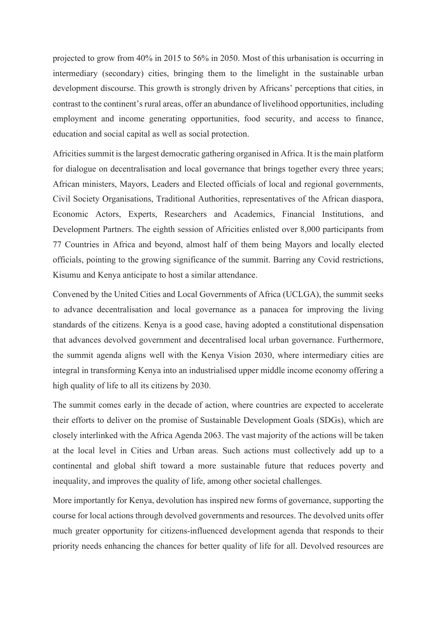projected to grow from 40% in 2015 to 56% in 2050. Most of this urbanisation is occurring in intermediary (secondary) cities, bringing them to the limelight in the sustainable urban development discourse. This growth is strongly driven by Africans' perceptions that cities, in contrast to the continent's rural areas, offer an abundance of livelihood opportunities, including employment and income generating opportunities, food security, and access to finance, education and social capital as well as social protection.

Africities summit is the largest democratic gathering organised in Africa. It is the main platform for dialogue on decentralisation and local governance that brings together every three years; African ministers, Mayors, Leaders and Elected officials of local and regional governments, Civil Society Organisations, Traditional Authorities, representatives of the African diaspora, Economic Actors, Experts, Researchers and Academics, Financial Institutions, and Development Partners. The eighth session of Africities enlisted over 8,000 participants from 77 Countries in Africa and beyond, almost half of them being Mayors and locally elected officials, pointing to the growing significance of the summit. Barring any Covid restrictions, Kisumu and Kenya anticipate to host a similar attendance.

Convened by the United Cities and Local Governments of Africa (UCLGA), the summit seeks to advance decentralisation and local governance as a panacea for improving the living standards of the citizens. Kenya is a good case, having adopted a constitutional dispensation that advances devolved government and decentralised local urban governance. Furthermore, the summit agenda aligns well with the Kenya Vision 2030, where intermediary cities are integral in transforming Kenya into an industrialised upper middle income economy offering a high quality of life to all its citizens by 2030.

The summit comes early in the decade of action, where countries are expected to accelerate their efforts to deliver on the promise of Sustainable Development Goals (SDGs), which are closely interlinked with the Africa Agenda 2063. The vast majority of the actions will be taken at the local level in Cities and Urban areas. Such actions must collectively add up to a continental and global shift toward a more sustainable future that reduces poverty and inequality, and improves the quality of life, among other societal challenges.

More importantly for Kenya, devolution has inspired new forms of governance, supporting the course for local actions through devolved governments and resources. The devolved units offer much greater opportunity for citizens-influenced development agenda that responds to their priority needs enhancing the chances for better quality of life for all. Devolved resources are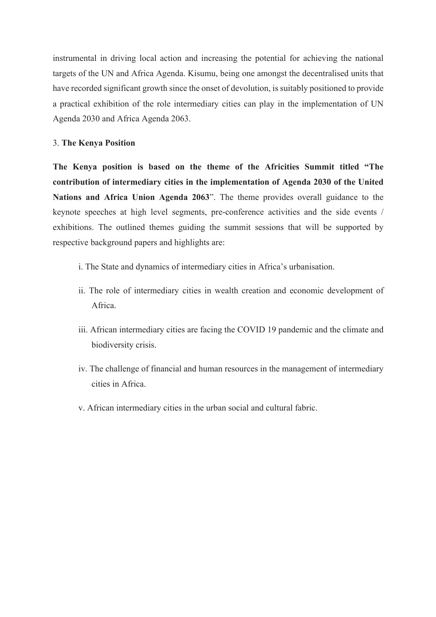instrumental in driving local action and increasing the potential for achieving the national targets of the UN and Africa Agenda. Kisumu, being one amongst the decentralised units that have recorded significant growth since the onset of devolution, is suitably positioned to provide a practical exhibition of the role intermediary cities can play in the implementation of UN Agenda 2030 and Africa Agenda 2063.

## 3. **The Kenya Position**

**The Kenya position is based on the theme of the Africities Summit titled "The contribution of intermediary cities in the implementation of Agenda 2030 of the United Nations and Africa Union Agenda 2063**". The theme provides overall guidance to the keynote speeches at high level segments, pre-conference activities and the side events / exhibitions. The outlined themes guiding the summit sessions that will be supported by respective background papers and highlights are:

- i. The State and dynamics of intermediary cities in Africa's urbanisation.
- ii. The role of intermediary cities in wealth creation and economic development of Africa.
- iii. African intermediary cities are facing the COVID 19 pandemic and the climate and biodiversity crisis.
- iv. The challenge of financial and human resources in the management of intermediary cities in Africa.
- v. African intermediary cities in the urban social and cultural fabric.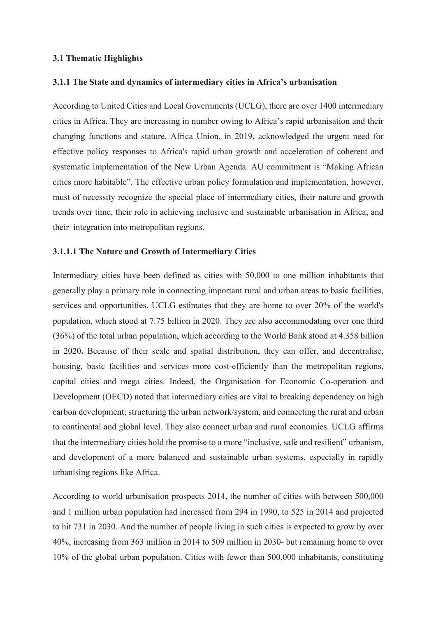#### **3.1 Thematic Highlights**

#### **3.1.1 The State and dynamics of intermediary cities in Africa's urbanisation**

According to United Cities and Local Governments (UCLG), there are over 1400 intermediary cities in Africa. They are increasing in number owing to Africa's rapid urbanisation and their changing functions and stature. Africa Union, in 2019, acknowledged the urgent need for effective policy responses to Africa's rapid urban growth and acceleration of coherent and systematic implementation of the New Urban Agenda. AU commitment is "Making African cities more habitable". The effective urban policy formulation and implementation, however, must of necessity recognize the special place of intermediary cities, their nature and growth trends over time, their role in achieving inclusive and sustainable urbanisation in Africa, and their integration into metropolitan regions.

#### **3.1.1.1 The Nature and Growth of Intermediary Cities**

Intermediary cities have been defined as cities with 50,000 to one million inhabitants that generally play a primary role in connecting important rural and urban areas to basic facilities, services and opportunities. UCLG estimates that they are home to over 20% of the world's population, which stood at 7.75 billion in 2020. They are also accommodating over one third (36%) of the total urban population, which according to the World Bank stood at 4.358 billion in 2020**.** Because of their scale and spatial distribution, they can offer, and decentralise, housing, basic facilities and services more cost-efficiently than the metropolitan regions, capital cities and mega cities. Indeed, the Organisation for Economic Co-operation and Development (OECD) noted that intermediary cities are vital to breaking dependency on high carbon development; structuring the urban network/system, and connecting the rural and urban to continental and global level. They also connect urban and rural economies. UCLG affirms that the intermediary cities hold the promise to a more "inclusive, safe and resilient" urbanism, and development of a more balanced and sustainable urban systems, especially in rapidly urbanising regions like Africa.

According to world urbanisation prospects 2014, the number of cities with between 500,000 and 1 million urban population had increased from 294 in 1990, to 525 in 2014 and projected to hit 731 in 2030. And the number of people living in such cities is expected to grow by over 40%, increasing from 363 million in 2014 to 509 million in 2030- but remaining home to over 10% of the global urban population. Cities with fewer than 500,000 inhabitants, constituting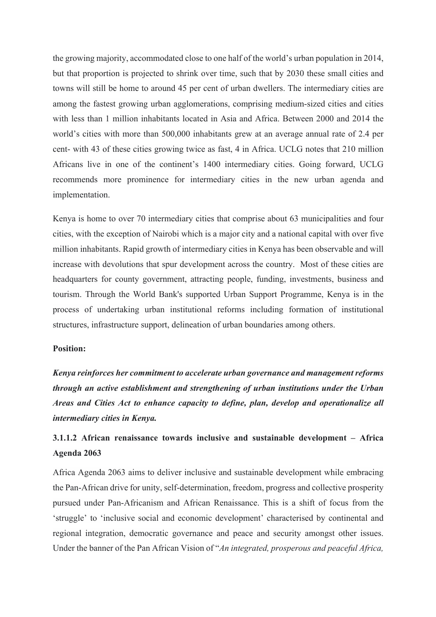the growing majority, accommodated close to one half of the world's urban population in 2014, but that proportion is projected to shrink over time, such that by 2030 these small cities and towns will still be home to around 45 per cent of urban dwellers. The intermediary cities are among the fastest growing urban agglomerations, comprising medium-sized cities and cities with less than 1 million inhabitants located in Asia and Africa. Between 2000 and 2014 the world's cities with more than 500,000 inhabitants grew at an average annual rate of 2.4 per cent- with 43 of these cities growing twice as fast, 4 in Africa. UCLG notes that 210 million Africans live in one of the continent's 1400 intermediary cities. Going forward, UCLG recommends more prominence for intermediary cities in the new urban agenda and implementation.

Kenya is home to over 70 intermediary cities that comprise about 63 municipalities and four cities, with the exception of Nairobi which is a major city and a national capital with over five million inhabitants. Rapid growth of intermediary cities in Kenya has been observable and will increase with devolutions that spur development across the country. Most of these cities are headquarters for county government, attracting people, funding, investments, business and tourism. Through the World Bank's supported Urban Support Programme, Kenya is in the process of undertaking urban institutional reforms including formation of institutional structures, infrastructure support, delineation of urban boundaries among others.

### **Position:**

*Kenya reinforces her commitment to accelerate urban governance and management reforms through an active establishment and strengthening of urban institutions under the Urban Areas and Cities Act to enhance capacity to define, plan, develop and operationalize all intermediary cities in Kenya.*

# **3.1.1.2 African renaissance towards inclusive and sustainable development – Africa Agenda 2063**

Africa Agenda 2063 aims to deliver inclusive and sustainable development while embracing the Pan-African drive for unity, self-determination, freedom, progress and collective prosperity pursued under Pan-Africanism and African Renaissance. This is a shift of focus from the 'struggle' to 'inclusive social and economic development' characterised by continental and regional integration, democratic governance and peace and security amongst other issues. Under the banner of the Pan African Vision of "*An integrated, prosperous and peaceful Africa,*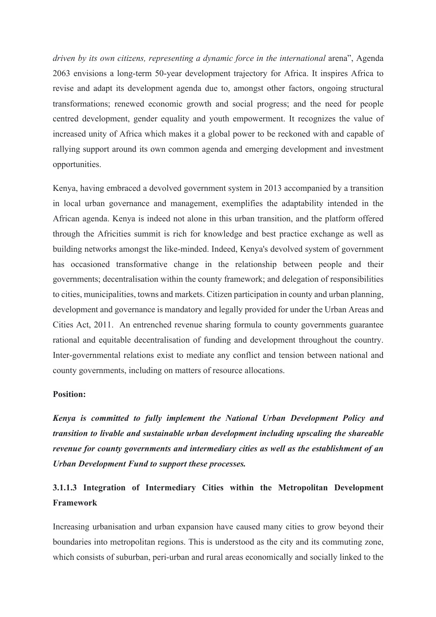*driven by its own citizens, representing a dynamic force in the international arena*", Agenda 2063 envisions a long-term 50-year development trajectory for Africa. It inspires Africa to revise and adapt its development agenda due to, amongst other factors, ongoing structural transformations; renewed economic growth and social progress; and the need for people centred development, gender equality and youth empowerment. It recognizes the value of increased unity of Africa which makes it a global power to be reckoned with and capable of rallying support around its own common agenda and emerging development and investment opportunities.

Kenya, having embraced a devolved government system in 2013 accompanied by a transition in local urban governance and management, exemplifies the adaptability intended in the African agenda. Kenya is indeed not alone in this urban transition, and the platform offered through the Africities summit is rich for knowledge and best practice exchange as well as building networks amongst the like-minded. Indeed, Kenya's devolved system of government has occasioned transformative change in the relationship between people and their governments; decentralisation within the county framework; and delegation of responsibilities to cities, municipalities, towns and markets. Citizen participation in county and urban planning, development and governance is mandatory and legally provided for under the Urban Areas and Cities Act, 2011. An entrenched revenue sharing formula to county governments guarantee rational and equitable decentralisation of funding and development throughout the country. Inter-governmental relations exist to mediate any conflict and tension between national and county governments, including on matters of resource allocations.

#### **Position:**

*Kenya is committed to fully implement the National Urban Development Policy and transition to livable and sustainable urban development including upscaling the shareable revenue for county governments and intermediary cities as well as the establishment of an Urban Development Fund to support these processes.*

# **3.1.1.3 Integration of Intermediary Cities within the Metropolitan Development Framework**

Increasing urbanisation and urban expansion have caused many cities to grow beyond their boundaries into metropolitan regions. This is understood as the city and its commuting zone, which consists of suburban, peri-urban and rural areas economically and socially linked to the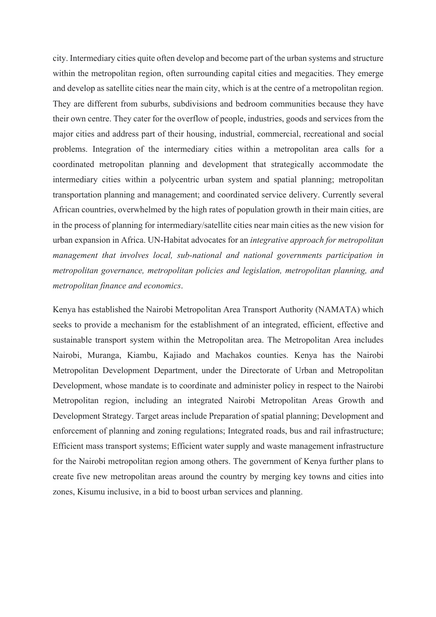city. Intermediary cities quite often develop and become part of the urban systems and structure within the metropolitan region, often surrounding capital cities and megacities. They emerge and develop as satellite cities near the main city, which is at the centre of a metropolitan region. They are different from suburbs, subdivisions and bedroom communities because they have their own centre. They cater for the overflow of people, industries, goods and services from the major cities and address part of their housing, industrial, commercial, recreational and social problems. Integration of the intermediary cities within a metropolitan area calls for a coordinated metropolitan planning and development that strategically accommodate the intermediary cities within a polycentric urban system and spatial planning; metropolitan transportation planning and management; and coordinated service delivery. Currently several African countries, overwhelmed by the high rates of population growth in their main cities, are in the process of planning for intermediary/satellite cities near main cities as the new vision for urban expansion in Africa. UN-Habitat advocates for an *integrative approach for metropolitan management that involves local, sub-national and national governments participation in metropolitan governance, metropolitan policies and legislation, metropolitan planning, and metropolitan finance and economics*.

Kenya has established the Nairobi Metropolitan Area Transport Authority (NAMATA) which seeks to provide a mechanism for the establishment of an integrated, efficient, effective and sustainable transport system within the Metropolitan area. The Metropolitan Area includes Nairobi, Muranga, Kiambu, Kajiado and Machakos counties. Kenya has the Nairobi Metropolitan Development Department, under the Directorate of Urban and Metropolitan Development, whose mandate is to coordinate and administer policy in respect to the Nairobi Metropolitan region, including an integrated Nairobi Metropolitan Areas Growth and Development Strategy. Target areas include Preparation of spatial planning; Development and enforcement of planning and zoning regulations; Integrated roads, bus and rail infrastructure; Efficient mass transport systems; Efficient water supply and waste management infrastructure for the Nairobi metropolitan region among others. The government of Kenya further plans to create five new metropolitan areas around the country by merging key towns and cities into zones, Kisumu inclusive, in a bid to boost urban services and planning.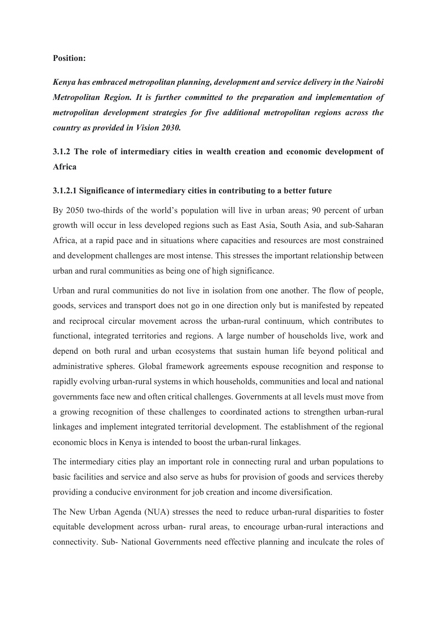#### **Position:**

*Kenya has embraced metropolitan planning, development and service delivery in the Nairobi Metropolitan Region. It is further committed to the preparation and implementation of metropolitan development strategies for five additional metropolitan regions across the country as provided in Vision 2030.*

# **3.1.2 The role of intermediary cities in wealth creation and economic development of Africa**

#### **3.1.2.1 Significance of intermediary cities in contributing to a better future**

By 2050 two-thirds of the world's population will live in urban areas; 90 percent of urban growth will occur in less developed regions such as East Asia, South Asia, and sub-Saharan Africa, at a rapid pace and in situations where capacities and resources are most constrained and development challenges are most intense. This stresses the important relationship between urban and rural communities as being one of high significance.

Urban and rural communities do not live in isolation from one another. The flow of people, goods, services and transport does not go in one direction only but is manifested by repeated and reciprocal circular movement across the urban-rural continuum, which contributes to functional, integrated territories and regions. A large number of households live, work and depend on both rural and urban ecosystems that sustain human life beyond political and administrative spheres. Global framework agreements espouse recognition and response to rapidly evolving urban-rural systems in which households, communities and local and national governments face new and often critical challenges. Governments at all levels must move from a growing recognition of these challenges to coordinated actions to strengthen urban-rural linkages and implement integrated territorial development. The establishment of the regional economic blocs in Kenya is intended to boost the urban-rural linkages.

The intermediary cities play an important role in connecting rural and urban populations to basic facilities and service and also serve as hubs for provision of goods and services thereby providing a conducive environment for job creation and income diversification.

The New Urban Agenda (NUA) stresses the need to reduce urban-rural disparities to foster equitable development across urban- rural areas, to encourage urban-rural interactions and connectivity. Sub- National Governments need effective planning and inculcate the roles of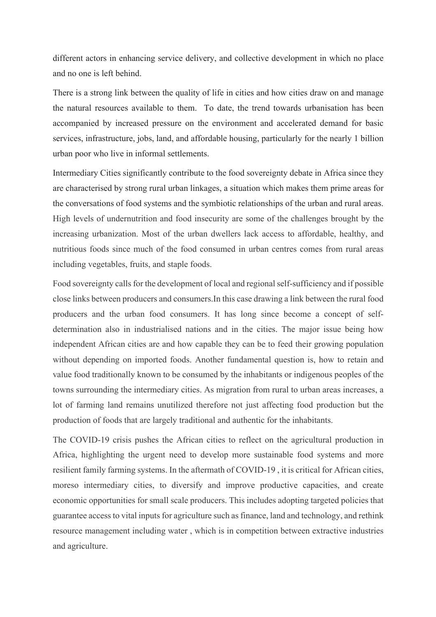different actors in enhancing service delivery, and collective development in which no place and no one is left behind.

There is a strong link between the quality of life in cities and how cities draw on and manage the natural resources available to them. To date, the trend towards urbanisation has been accompanied by increased pressure on the environment and accelerated demand for basic services, infrastructure, jobs, land, and affordable housing, particularly for the nearly 1 billion urban poor who live in informal settlements.

Intermediary Cities significantly contribute to the food sovereignty debate in Africa since they are characterised by strong rural urban linkages, a situation which makes them prime areas for the conversations of food systems and the symbiotic relationships of the urban and rural areas. High levels of undernutrition and food insecurity are some of the challenges brought by the increasing urbanization. Most of the urban dwellers lack access to affordable, healthy, and nutritious foods since much of the food consumed in urban centres comes from rural areas including vegetables, fruits, and staple foods.

Food sovereignty calls for the development of local and regional self-sufficiency and if possible close links between producers and consumers.In this case drawing a link between the rural food producers and the urban food consumers. It has long since become a concept of selfdetermination also in industrialised nations and in the cities. The major issue being how independent African cities are and how capable they can be to feed their growing population without depending on imported foods. Another fundamental question is, how to retain and value food traditionally known to be consumed by the inhabitants or indigenous peoples of the towns surrounding the intermediary cities. As migration from rural to urban areas increases, a lot of farming land remains unutilized therefore not just affecting food production but the production of foods that are largely traditional and authentic for the inhabitants.

The COVID-19 crisis pushes the African cities to reflect on the agricultural production in Africa, highlighting the urgent need to develop more sustainable food systems and more resilient family farming systems. In the aftermath of COVID-19 , it is critical for African cities, moreso intermediary cities, to diversify and improve productive capacities, and create economic opportunities for small scale producers. This includes adopting targeted policies that guarantee access to vital inputs for agriculture such as finance, land and technology, and rethink resource management including water , which is in competition between extractive industries and agriculture.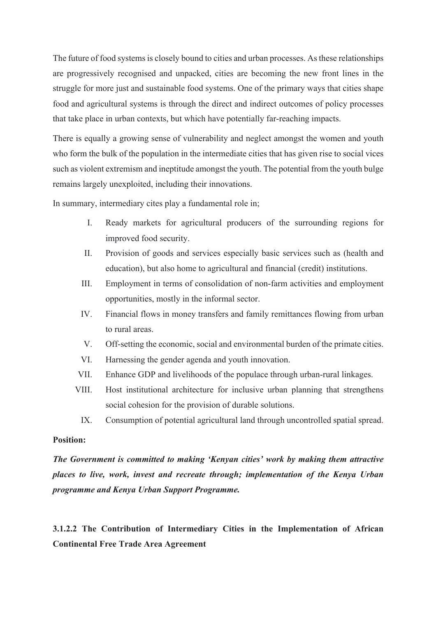The future of food systems is closely bound to cities and urban processes. As these relationships are progressively recognised and unpacked, cities are becoming the new front lines in the struggle for more just and sustainable food systems. One of the primary ways that cities shape food and agricultural systems is through the direct and indirect outcomes of policy processes that take place in urban contexts, but which have potentially far-reaching impacts.

There is equally a growing sense of vulnerability and neglect amongst the women and youth who form the bulk of the population in the intermediate cities that has given rise to social vices such as violent extremism and ineptitude amongst the youth. The potential from the youth bulge remains largely unexploited, including their innovations.

In summary, intermediary cites play a fundamental role in;

- I. Ready markets for agricultural producers of the surrounding regions for improved food security.
- II. Provision of goods and services especially basic services such as (health and education), but also home to agricultural and financial (credit) institutions.
- III. Employment in terms of consolidation of non-farm activities and employment opportunities, mostly in the informal sector.
- IV. Financial flows in money transfers and family remittances flowing from urban to rural areas.
- V. Off-setting the economic, social and environmental burden of the primate cities.
- VI. Harnessing the gender agenda and youth innovation.
- VII. Enhance GDP and livelihoods of the populace through urban-rural linkages.
- VIII. Host institutional architecture for inclusive urban planning that strengthens social cohesion for the provision of durable solutions.
	- IX. Consumption of potential agricultural land through uncontrolled spatial spread.

#### **Position:**

*The Government is committed to making 'Kenyan cities' work by making them attractive places to live, work, invest and recreate through; implementation of the Kenya Urban programme and Kenya Urban Support Programme.*

**3.1.2.2 The Contribution of Intermediary Cities in the Implementation of African Continental Free Trade Area Agreement**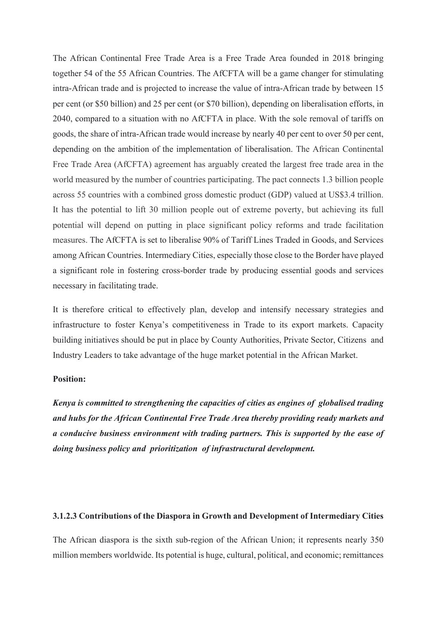The African Continental Free Trade Area is a Free Trade Area founded in 2018 bringing together 54 of the 55 African Countries. The AfCFTA will be a game changer for stimulating intra-African trade and is projected to increase the value of intra-African trade by between 15 per cent (or \$50 billion) and 25 per cent (or \$70 billion), depending on liberalisation efforts, in 2040, compared to a situation with no AfCFTA in place. With the sole removal of tariffs on goods, the share of intra-African trade would increase by nearly 40 per cent to over 50 per cent, depending on the ambition of the implementation of liberalisation. The African Continental Free Trade Area (AfCFTA) agreement has arguably created the largest free trade area in the world measured by the number of countries participating. The pact connects 1.3 billion people across 55 countries with a combined gross domestic product (GDP) valued at US\$3.4 trillion. It has the potential to lift 30 million people out of extreme poverty, but achieving its full potential will depend on putting in place significant policy reforms and trade facilitation measures. The AfCFTA is set to liberalise 90% of Tariff Lines Traded in Goods, and Services among African Countries. Intermediary Cities, especially those close to the Border have played a significant role in fostering cross-border trade by producing essential goods and services necessary in facilitating trade.

It is therefore critical to effectively plan, develop and intensify necessary strategies and infrastructure to foster Kenya's competitiveness in Trade to its export markets. Capacity building initiatives should be put in place by County Authorities, Private Sector, Citizens and Industry Leaders to take advantage of the huge market potential in the African Market.

#### **Position:**

*Kenya is committed to strengthening the capacities of cities as engines of globalised trading and hubs for the African Continental Free Trade Area thereby providing ready markets and a conducive business environment with trading partners. This is supported by the ease of doing business policy and prioritization of infrastructural development.*

#### **3.1.2.3 Contributions of the Diaspora in Growth and Development of Intermediary Cities**

The African diaspora is the sixth sub-region of the African Union; it represents nearly 350 million members worldwide. Its potential is huge, cultural, political, and economic; remittances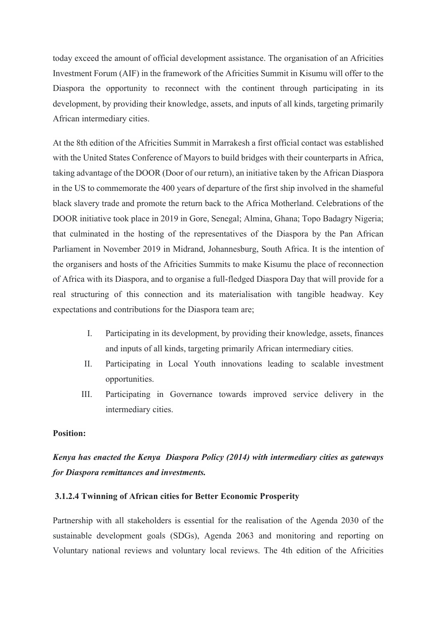today exceed the amount of official development assistance. The organisation of an Africities Investment Forum (AIF) in the framework of the Africities Summit in Kisumu will offer to the Diaspora the opportunity to reconnect with the continent through participating in its development, by providing their knowledge, assets, and inputs of all kinds, targeting primarily African intermediary cities.

At the 8th edition of the Africities Summit in Marrakesh a first official contact was established with the United States Conference of Mayors to build bridges with their counterparts in Africa, taking advantage of the DOOR (Door of our return), an initiative taken by the African Diaspora in the US to commemorate the 400 years of departure of the first ship involved in the shameful black slavery trade and promote the return back to the Africa Motherland. Celebrations of the DOOR initiative took place in 2019 in Gore, Senegal; Almina, Ghana; Topo Badagry Nigeria; that culminated in the hosting of the representatives of the Diaspora by the Pan African Parliament in November 2019 in Midrand, Johannesburg, South Africa. It is the intention of the organisers and hosts of the Africities Summits to make Kisumu the place of reconnection of Africa with its Diaspora, and to organise a full-fledged Diaspora Day that will provide for a real structuring of this connection and its materialisation with tangible headway. Key expectations and contributions for the Diaspora team are;

- I. Participating in its development, by providing their knowledge, assets, finances and inputs of all kinds, targeting primarily African intermediary cities.
- II. Participating in Local Youth innovations leading to scalable investment opportunities.
- III. Participating in Governance towards improved service delivery in the intermediary cities.

#### **Position:**

# *Kenya has enacted the Kenya Diaspora Policy (2014) with intermediary cities as gateways for Diaspora remittances and investments.*

#### **3.1.2.4 Twinning of African cities for Better Economic Prosperity**

Partnership with all stakeholders is essential for the realisation of the Agenda 2030 of the sustainable development goals (SDGs), Agenda 2063 and monitoring and reporting on Voluntary national reviews and voluntary local reviews. The 4th edition of the Africities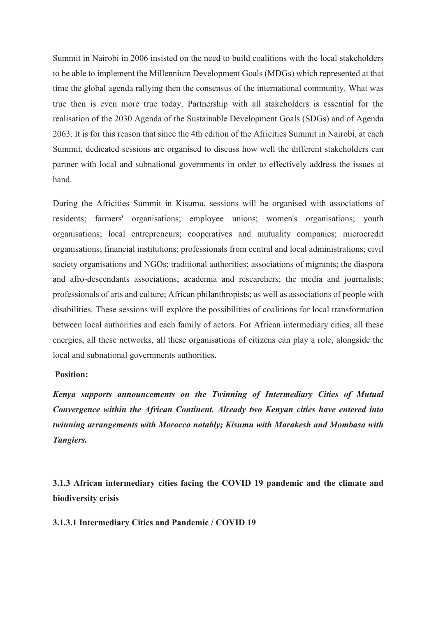Summit in Nairobi in 2006 insisted on the need to build coalitions with the local stakeholders to be able to implement the Millennium Development Goals (MDGs) which represented at that time the global agenda rallying then the consensus of the international community. What was true then is even more true today. Partnership with all stakeholders is essential for the realisation of the 2030 Agenda of the Sustainable Development Goals (SDGs) and of Agenda 2063. It is for this reason that since the 4th edition of the Africities Summit in Nairobi, at each Summit, dedicated sessions are organised to discuss how well the different stakeholders can partner with local and subnational governments in order to effectively address the issues at hand.

During the Africities Summit in Kisumu, sessions will be organised with associations of residents; farmers' organisations; employee unions; women's organisations; youth organisations; local entrepreneurs; cooperatives and mutuality companies; microcredit organisations; financial institutions; professionals from central and local administrations; civil society organisations and NGOs; traditional authorities; associations of migrants; the diaspora and afro-descendants associations; academia and researchers; the media and journalists; professionals of arts and culture; African philanthropists; as well as associations of people with disabilities. These sessions will explore the possibilities of coalitions for local transformation between local authorities and each family of actors. For African intermediary cities, all these energies, all these networks, all these organisations of citizens can play a role, alongside the local and subnational governments authorities.

## **Position:**

*Kenya supports announcements on the Twinning of Intermediary Cities of Mutual Convergence within the African Continent. Already two Kenyan cities have entered into twinning arrangements with Morocco notably; Kisumu with Marakesh and Mombasa with Tangiers.*

**3.1.3 African intermediary cities facing the COVID 19 pandemic and the climate and biodiversity crisis**

**3.1.3.1 Intermediary Cities and Pandemic / COVID 19**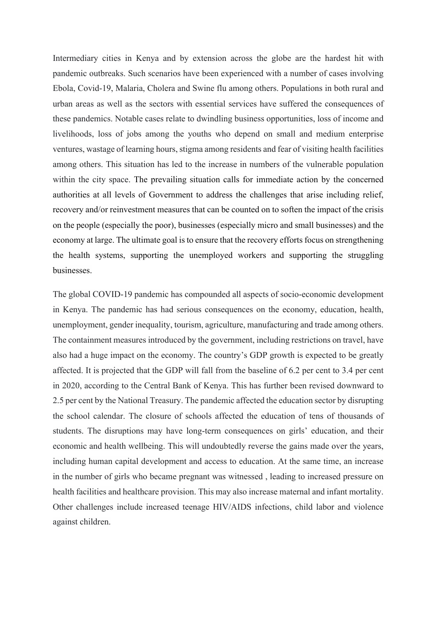Intermediary cities in Kenya and by extension across the globe are the hardest hit with pandemic outbreaks. Such scenarios have been experienced with a number of cases involving Ebola, Covid-19, Malaria, Cholera and Swine flu among others. Populations in both rural and urban areas as well as the sectors with essential services have suffered the consequences of these pandemics. Notable cases relate to dwindling business opportunities, loss of income and livelihoods, loss of jobs among the youths who depend on small and medium enterprise ventures, wastage of learning hours, stigma among residents and fear of visiting health facilities among others. This situation has led to the increase in numbers of the vulnerable population within the city space. The prevailing situation calls for immediate action by the concerned authorities at all levels of Government to address the challenges that arise including relief, recovery and/or reinvestment measures that can be counted on to soften the impact of the crisis on the people (especially the poor), businesses (especially micro and small businesses) and the economy at large. The ultimate goal is to ensure that the recovery efforts focus on strengthening the health systems, supporting the unemployed workers and supporting the struggling businesses.

The global COVID-19 pandemic has compounded all aspects of socio-economic development in Kenya. The pandemic has had serious consequences on the economy, education, health, unemployment, gender inequality, tourism, agriculture, manufacturing and trade among others. The containment measures introduced by the government, including restrictions on travel, have also had a huge impact on the economy. The country's GDP growth is expected to be greatly affected. It is projected that the GDP will fall from the baseline of 6.2 per cent to 3.4 per cent in 2020, according to the Central Bank of Kenya. This has further been revised downward to 2.5 per cent by the National Treasury. The pandemic affected the education sector by disrupting the school calendar. The closure of schools affected the education of tens of thousands of students. The disruptions may have long-term consequences on girls' education, and their economic and health wellbeing. This will undoubtedly reverse the gains made over the years, including human capital development and access to education. At the same time, an increase in the number of girls who became pregnant was witnessed , leading to increased pressure on health facilities and healthcare provision. This may also increase maternal and infant mortality. Other challenges include increased teenage HIV/AIDS infections, child labor and violence against children.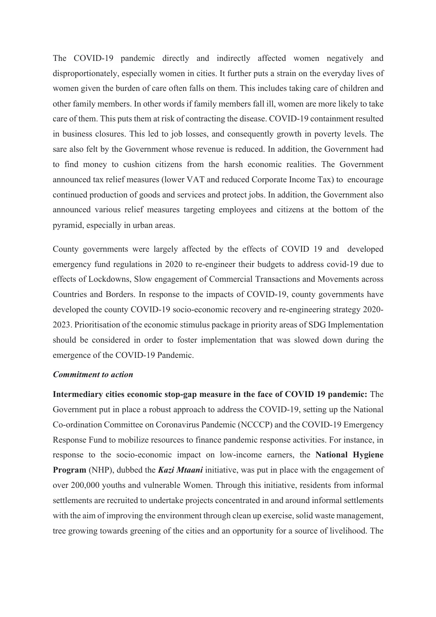The COVID-19 pandemic directly and indirectly affected women negatively and disproportionately, especially women in cities. It further puts a strain on the everyday lives of women given the burden of care often falls on them. This includes taking care of children and other family members. In other words if family members fall ill, women are more likely to take care of them. This puts them at risk of contracting the disease. COVID-19 containment resulted in business closures. This led to job losses, and consequently growth in poverty levels. The sare also felt by the Government whose revenue is reduced. In addition, the Government had to find money to cushion citizens from the harsh economic realities. The Government announced tax relief measures (lower VAT and reduced Corporate Income Tax) to encourage continued production of goods and services and protect jobs. In addition, the Government also announced various relief measures targeting employees and citizens at the bottom of the pyramid, especially in urban areas.

County governments were largely affected by the effects of COVID 19 and developed emergency fund regulations in 2020 to re-engineer their budgets to address covid-19 due to effects of Lockdowns, Slow engagement of Commercial Transactions and Movements across Countries and Borders. In response to the impacts of COVID-19, county governments have developed the county COVID-19 socio-economic recovery and re-engineering strategy 2020- 2023. Prioritisation of the economic stimulus package in priority areas of SDG Implementation should be considered in order to foster implementation that was slowed down during the emergence of the COVID-19 Pandemic.

#### *Commitment to action*

**Intermediary cities economic stop-gap measure in the face of COVID 19 pandemic:** The Government put in place a robust approach to address the COVID-19, setting up the National Co-ordination Committee on Coronavirus Pandemic (NCCCP) and the COVID-19 Emergency Response Fund to mobilize resources to finance pandemic response activities. For instance, in response to the socio-economic impact on low-income earners, the **National Hygiene Program** (NHP), dubbed the *Kazi Mtaani* initiative, was put in place with the engagement of over 200,000 youths and vulnerable Women. Through this initiative, residents from informal settlements are recruited to undertake projects concentrated in and around informal settlements with the aim of improving the environment through clean up exercise, solid waste management, tree growing towards greening of the cities and an opportunity for a source of livelihood. The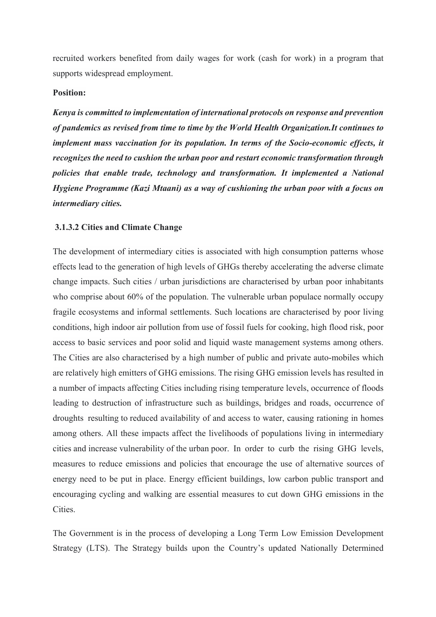recruited workers benefited from daily wages for work (cash for work) in a program that supports widespread employment.

# **Position:**

*Kenya is committed to implementation of international protocols on response and prevention of pandemics as revised from time to time by the World Health Organization.It continues to implement mass vaccination for its population. In terms of the Socio-economic effects, it recognizes the need to cushion the urban poor and restart economic transformation through policies that enable trade, technology and transformation. It implemented a National Hygiene Programme (Kazi Mtaani) as a way of cushioning the urban poor with a focus on intermediary cities.*

#### **3.1.3.2 Cities and Climate Change**

The development of intermediary cities is associated with high consumption patterns whose effects lead to the generation of high levels of GHGs thereby accelerating the adverse climate change impacts. Such cities / urban jurisdictions are characterised by urban poor inhabitants who comprise about 60% of the population. The vulnerable urban populace normally occupy fragile ecosystems and informal settlements. Such locations are characterised by poor living conditions, high indoor air pollution from use of fossil fuels for cooking, high flood risk, poor access to basic services and poor solid and liquid waste management systems among others. The Cities are also characterised by a high number of public and private auto-mobiles which are relatively high emitters of GHG emissions. The rising GHG emission levels has resulted in a number of impacts affecting Cities including rising temperature levels, occurrence of floods leading to destruction of infrastructure such as buildings, bridges and roads, occurrence of droughts resulting to reduced availability of and access to water, causing rationing in homes among others. All these impacts affect the livelihoods of populations living in intermediary cities and increase vulnerability of the urban poor. In order to curb the rising GHG levels, measures to reduce emissions and policies that encourage the use of alternative sources of energy need to be put in place. Energy efficient buildings, low carbon public transport and encouraging cycling and walking are essential measures to cut down GHG emissions in the Cities.

The Government is in the process of developing a Long Term Low Emission Development Strategy (LTS). The Strategy builds upon the Country's updated Nationally Determined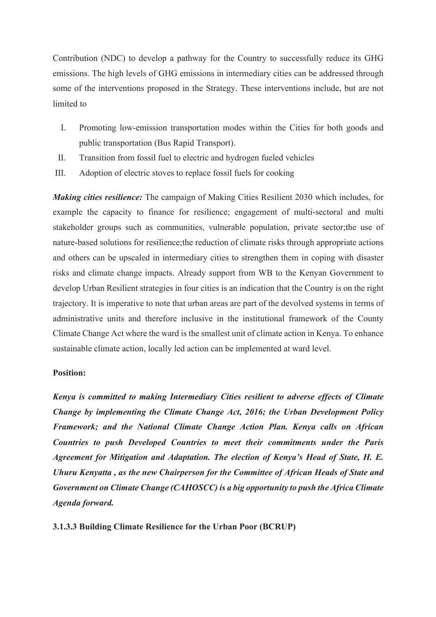Contribution (NDC) to develop a pathway for the Country to successfully reduce its GHG emissions. The high levels of GHG emissions in intermediary cities can be addressed through some of the interventions proposed in the Strategy. These interventions include, but are not limited to

- I. Promoting low-emission transportation modes within the Cities for both goods and public transportation (Bus Rapid Transport).
- II. Transition from fossil fuel to electric and hydrogen fueled vehicles
- III. Adoption of electric stoves to replace fossil fuels for cooking

*Making cities resilience:* The campaign of Making Cities Resilient 2030 which includes, for example the capacity to finance for resilience; engagement of multi-sectoral and multi stakeholder groups such as communities, vulnerable population, private sector;the use of nature-based solutions for resilience;the reduction of climate risks through appropriate actions and others can be upscaled in intermediary cities to strengthen them in coping with disaster risks and climate change impacts. Already support from WB to the Kenyan Government to develop Urban Resilient strategies in four cities is an indication that the Country is on the right trajectory. It is imperative to note that urban areas are part of the devolved systems in terms of administrative units and therefore inclusive in the institutional framework of the County Climate Change Act where the ward is the smallest unit of climate action in Kenya. To enhance sustainable climate action, locally led action can be implemented at ward level.

## **Position:**

*Kenya is committed to making Intermediary Cities resilient to adverse effects of Climate Change by implementing the Climate Change Act, 2016; the Urban Development Policy Framework; and the National Climate Change Action Plan. Kenya calls on African Countries to push Developed Countries to meet their commitments under the Paris Agreement for Mitigation and Adaptation. The election of Kenya's Head of State, H. E. Uhuru Kenyatta , as the new Chairperson for the Committee of African Heads of State and Government on Climate Change (CAHOSCC) is a big opportunity to push the Africa Climate Agenda forward.* 

**3.1.3.3 Building Climate Resilience for the Urban Poor (BCRUP)**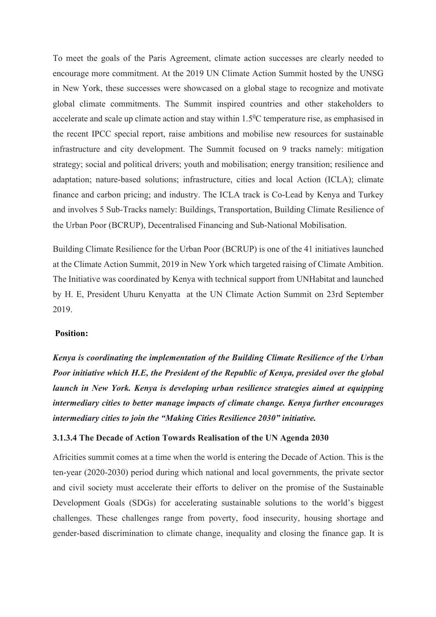To meet the goals of the Paris Agreement, climate action successes are clearly needed to encourage more commitment. At the 2019 UN Climate Action Summit hosted by the UNSG in New York, these successes were showcased on a global stage to recognize and motivate global climate commitments. The Summit inspired countries and other stakeholders to accelerate and scale up climate action and stay within  $1.5^{\circ}$ C temperature rise, as emphasised in the recent IPCC special report, raise ambitions and mobilise new resources for sustainable infrastructure and city development. The Summit focused on 9 tracks namely: mitigation strategy; social and political drivers; youth and mobilisation; energy transition; resilience and adaptation; nature-based solutions; infrastructure, cities and local Action (ICLA); climate finance and carbon pricing; and industry. The ICLA track is Co-Lead by Kenya and Turkey and involves 5 Sub-Tracks namely: Buildings, Transportation, Building Climate Resilience of the Urban Poor (BCRUP), Decentralised Financing and Sub-National Mobilisation.

Building Climate Resilience for the Urban Poor (BCRUP) is one of the 41 initiatives launched at the Climate Action Summit, 2019 in New York which targeted raising of Climate Ambition. The Initiative was coordinated by Kenya with technical support from UNHabitat and launched by H. E, President Uhuru Kenyatta at the UN Climate Action Summit on 23rd September 2019.

#### **Position:**

*Kenya is coordinating the implementation of the Building Climate Resilience of the Urban Poor initiative which H.E, the President of the Republic of Kenya, presided over the global launch in New York. Kenya is developing urban resilience strategies aimed at equipping intermediary cities to better manage impacts of climate change. Kenya further encourages intermediary cities to join the "Making Cities Resilience 2030" initiative.*

#### **3.1.3.4 The Decade of Action Towards Realisation of the UN Agenda 2030**

Africities summit comes at a time when the world is entering the Decade of Action. This is the ten-year (2020-2030) period during which national and local governments, the private sector and civil society must accelerate their efforts to deliver on the promise of the Sustainable Development Goals (SDGs) for accelerating sustainable solutions to the world's biggest challenges. These challenges range from poverty, food insecurity, housing shortage and gender-based discrimination to climate change, inequality and closing the finance gap. It is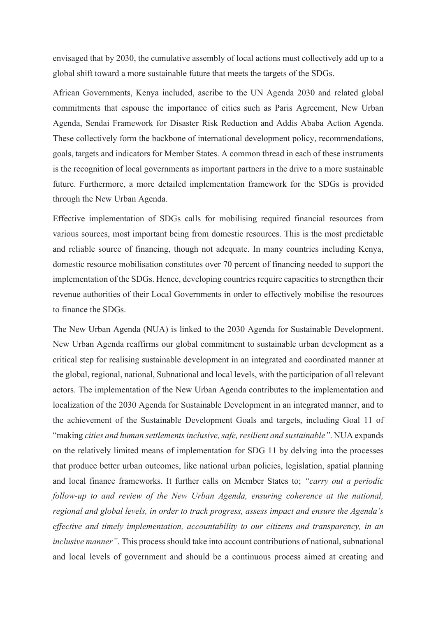envisaged that by 2030, the cumulative assembly of local actions must collectively add up to a global shift toward a more sustainable future that meets the targets of the SDGs.

African Governments, Kenya included, ascribe to the UN Agenda 2030 and related global commitments that espouse the importance of cities such as Paris Agreement, New Urban Agenda, Sendai Framework for Disaster Risk Reduction and Addis Ababa Action Agenda. These collectively form the backbone of international development policy, recommendations, goals, targets and indicators for Member States. A common thread in each of these instruments is the recognition of local governments as important partners in the drive to a more sustainable future. Furthermore, a more detailed implementation framework for the SDGs is provided through the New Urban Agenda.

Effective implementation of SDGs calls for mobilising required financial resources from various sources, most important being from domestic resources. This is the most predictable and reliable source of financing, though not adequate. In many countries including Kenya, domestic resource mobilisation constitutes over 70 percent of financing needed to support the implementation of the SDGs. Hence, developing countries require capacities to strengthen their revenue authorities of their Local Governments in order to effectively mobilise the resources to finance the SDGs.

The New Urban Agenda (NUA) is linked to the 2030 Agenda for Sustainable Development. New Urban Agenda reaffirms our global commitment to sustainable urban development as a critical step for realising sustainable development in an integrated and coordinated manner at the global, regional, national, Subnational and local levels, with the participation of all relevant actors. The implementation of the New Urban Agenda contributes to the implementation and localization of the 2030 Agenda for Sustainable Development in an integrated manner, and to the achievement of the Sustainable Development Goals and targets, including Goal 11 of "making *cities and human settlements inclusive, safe, resilient and sustainable"*. NUA expands on the relatively limited means of implementation for SDG 11 by delving into the processes that produce better urban outcomes, like national urban policies, legislation, spatial planning and local finance frameworks. It further calls on Member States to; *"carry out a periodic follow-up to and review of the New Urban Agenda, ensuring coherence at the national, regional and global levels, in order to track progress, assess impact and ensure the Agenda's effective and timely implementation, accountability to our citizens and transparency, in an inclusive manner"*. This process should take into account contributions of national, subnational and local levels of government and should be a continuous process aimed at creating and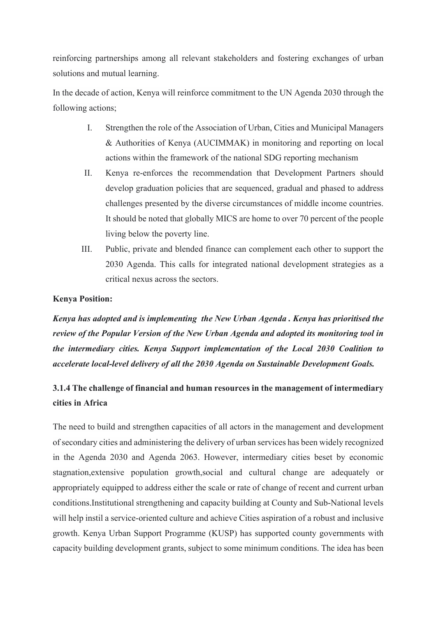reinforcing partnerships among all relevant stakeholders and fostering exchanges of urban solutions and mutual learning.

In the decade of action, Kenya will reinforce commitment to the UN Agenda 2030 through the following actions;

- I. Strengthen the role of the Association of Urban, Cities and Municipal Managers & Authorities of Kenya (AUCIMMAK) in monitoring and reporting on local actions within the framework of the national SDG reporting mechanism
- II. Kenya re-enforces the recommendation that Development Partners should develop graduation policies that are sequenced, gradual and phased to address challenges presented by the diverse circumstances of middle income countries. It should be noted that globally MICS are home to over 70 percent of the people living below the poverty line.
- III. Public, private and blended finance can complement each other to support the 2030 Agenda. This calls for integrated national development strategies as a critical nexus across the sectors.

# **Kenya Position:**

*Kenya has adopted and is implementing the New Urban Agenda . Kenya has prioritised the review of the Popular Version of the New Urban Agenda and adopted its monitoring tool in the intermediary cities. Kenya Support implementation of the Local 2030 Coalition to accelerate local-level delivery of all the 2030 Agenda on Sustainable Development Goals.*

# **3.1.4 The challenge of financial and human resources in the management of intermediary cities in Africa**

The need to build and strengthen capacities of all actors in the management and development of secondary cities and administering the delivery of urban services has been widely recognized in the Agenda 2030 and Agenda 2063. However, intermediary cities beset by economic stagnation,extensive population growth,social and cultural change are adequately or appropriately equipped to address either the scale or rate of change of recent and current urban conditions.Institutional strengthening and capacity building at County and Sub-National levels will help instil a service-oriented culture and achieve Cities aspiration of a robust and inclusive growth. Kenya Urban Support Programme (KUSP) has supported county governments with capacity building development grants, subject to some minimum conditions. The idea has been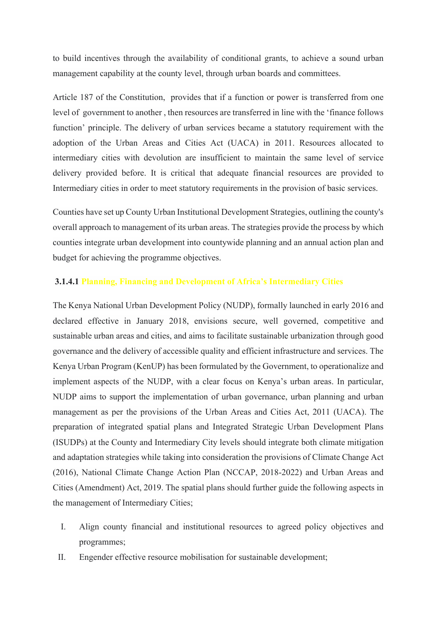to build incentives through the availability of conditional grants, to achieve a sound urban management capability at the county level, through urban boards and committees.

Article 187 of the Constitution, provides that if a function or power is transferred from one level of government to another , then resources are transferred in line with the 'finance follows function' principle. The delivery of urban services became a statutory requirement with the adoption of the Urban Areas and Cities Act (UACA) in 2011. Resources allocated to intermediary cities with devolution are insufficient to maintain the same level of service delivery provided before. It is critical that adequate financial resources are provided to Intermediary cities in order to meet statutory requirements in the provision of basic services.

Counties have set up County Urban Institutional Development Strategies, outlining the county's overall approach to management of its urban areas. The strategies provide the process by which counties integrate urban development into countywide planning and an annual action plan and budget for achieving the programme objectives.

#### **3.1.4.1 Planning, Financing and Development of Africa's Intermediary Cities**

The Kenya National Urban Development Policy (NUDP), formally launched in early 2016 and declared effective in January 2018, envisions secure, well governed, competitive and sustainable urban areas and cities, and aims to facilitate sustainable urbanization through good governance and the delivery of accessible quality and efficient infrastructure and services. The Kenya Urban Program (KenUP) has been formulated by the Government, to operationalize and implement aspects of the NUDP, with a clear focus on Kenya's urban areas. In particular, NUDP aims to support the implementation of urban governance, urban planning and urban management as per the provisions of the Urban Areas and Cities Act, 2011 (UACA). The preparation of integrated spatial plans and Integrated Strategic Urban Development Plans (ISUDPs) at the County and Intermediary City levels should integrate both climate mitigation and adaptation strategies while taking into consideration the provisions of Climate Change Act (2016), National Climate Change Action Plan (NCCAP, 2018-2022) and Urban Areas and Cities (Amendment) Act, 2019. The spatial plans should further guide the following aspects in the management of Intermediary Cities;

- I. Align county financial and institutional resources to agreed policy objectives and programmes;
- II. Engender effective resource mobilisation for sustainable development;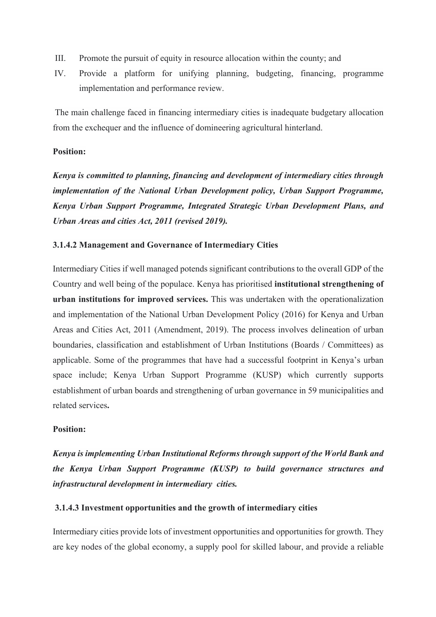- III. Promote the pursuit of equity in resource allocation within the county; and
- IV. Provide a platform for unifying planning, budgeting, financing, programme implementation and performance review.

The main challenge faced in financing intermediary cities is inadequate budgetary allocation from the exchequer and the influence of domineering agricultural hinterland.

## **Position:**

*Kenya is committed to planning, financing and development of intermediary cities through implementation of the National Urban Development policy, Urban Support Programme, Kenya Urban Support Programme, Integrated Strategic Urban Development Plans, and Urban Areas and cities Act, 2011 (revised 2019).* 

#### **3.1.4.2 Management and Governance of Intermediary Cities**

Intermediary Cities if well managed potends significant contributions to the overall GDP of the Country and well being of the populace. Kenya has prioritised **institutional strengthening of urban institutions for improved services.** This was undertaken with the operationalization and implementation of the National Urban Development Policy (2016) for Kenya and Urban Areas and Cities Act, 2011 (Amendment, 2019). The process involves delineation of urban boundaries, classification and establishment of Urban Institutions (Boards / Committees) as applicable. Some of the programmes that have had a successful footprint in Kenya's urban space include; Kenya Urban Support Programme (KUSP) which currently supports establishment of urban boards and strengthening of urban governance in 59 municipalities and related services**.** 

# **Position:**

*Kenya is implementing Urban Institutional Reforms through support of the World Bank and the Kenya Urban Support Programme (KUSP) to build governance structures and infrastructural development in intermediary cities.* 

#### **3.1.4.3 Investment opportunities and the growth of intermediary cities**

Intermediary cities provide lots of investment opportunities and opportunities for growth. They are key nodes of the global economy, a supply pool for skilled labour, and provide a reliable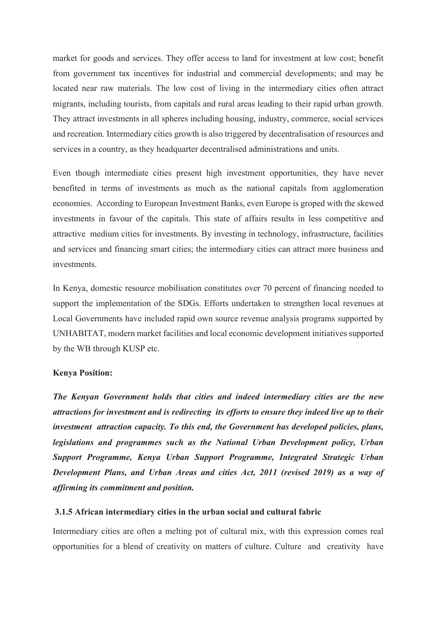market for goods and services. They offer access to land for investment at low cost; benefit from government tax incentives for industrial and commercial developments; and may be located near raw materials. The low cost of living in the intermediary cities often attract migrants, including tourists, from capitals and rural areas leading to their rapid urban growth. They attract investments in all spheres including housing, industry, commerce, social services and recreation. Intermediary cities growth is also triggered by decentralisation of resources and services in a country, as they headquarter decentralised administrations and units.

Even though intermediate cities present high investment opportunities, they have never benefited in terms of investments as much as the national capitals from agglomeration economies. According to European Investment Banks, even Europe is groped with the skewed investments in favour of the capitals. This state of affairs results in less competitive and attractive medium cities for investments. By investing in technology, infrastructure, facilities and services and financing smart cities; the intermediary cities can attract more business and investments.

In Kenya, domestic resource mobilisation constitutes over 70 percent of financing needed to support the implementation of the SDGs. Efforts undertaken to strengthen local revenues at Local Governments have included rapid own source revenue analysis programs supported by UNHABITAT, modern market facilities and local economic development initiatives supported by the WB through KUSP etc.

#### **Kenya Position:**

*The Kenyan Government holds that cities and indeed intermediary cities are the new attractions for investment and is redirecting its efforts to ensure they indeed live up to their investment attraction capacity. To this end, the Government has developed policies, plans, legislations and programmes such as the National Urban Development policy, Urban Support Programme, Kenya Urban Support Programme, Integrated Strategic Urban Development Plans, and Urban Areas and cities Act, 2011 (revised 2019) as a way of affirming its commitment and position.*

## **3.1.5 African intermediary cities in the urban social and cultural fabric**

Intermediary cities are often a melting pot of cultural mix, with this expression comes real opportunities for a blend of creativity on matters of culture. Culture and creativity have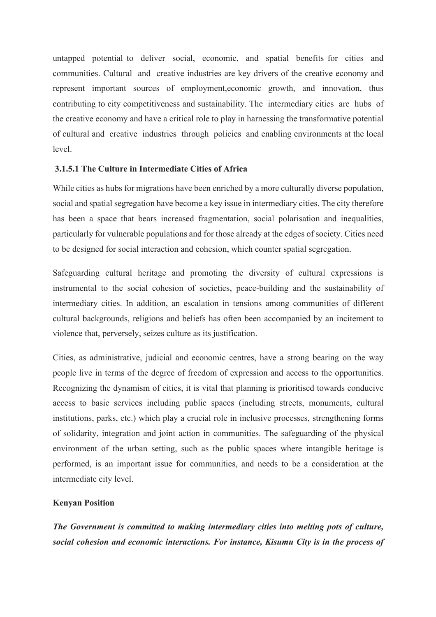untapped potential to deliver social, economic, and spatial benefits for cities and communities. Cultural and creative industries are key drivers of the creative economy and represent important sources of employment,economic growth, and innovation, thus contributing to city competitiveness and sustainability. The intermediary cities are hubs of the creative economy and have a critical role to play in harnessing the transformative potential of cultural and creative industries through policies and enabling environments at the local level.

#### **3.1.5.1 The Culture in Intermediate Cities of Africa**

While cities as hubs for migrations have been enriched by a more culturally diverse population, social and spatial segregation have become a key issue in intermediary cities. The city therefore has been a space that bears increased fragmentation, social polarisation and inequalities, particularly for vulnerable populations and for those already at the edges of society. Cities need to be designed for social interaction and cohesion, which counter spatial segregation.

Safeguarding cultural heritage and promoting the diversity of cultural expressions is instrumental to the social cohesion of societies, peace-building and the sustainability of intermediary cities. In addition, an escalation in tensions among communities of different cultural backgrounds, religions and beliefs has often been accompanied by an incitement to violence that, perversely, seizes culture as its justification.

Cities, as administrative, judicial and economic centres, have a strong bearing on the way people live in terms of the degree of freedom of expression and access to the opportunities. Recognizing the dynamism of cities, it is vital that planning is prioritised towards conducive access to basic services including public spaces (including streets, monuments, cultural institutions, parks, etc.) which play a crucial role in inclusive processes, strengthening forms of solidarity, integration and joint action in communities. The safeguarding of the physical environment of the urban setting, such as the public spaces where intangible heritage is performed, is an important issue for communities, and needs to be a consideration at the intermediate city level.

#### **Kenyan Position**

*The Government is committed to making intermediary cities into melting pots of culture, social cohesion and economic interactions. For instance, Kisumu City is in the process of*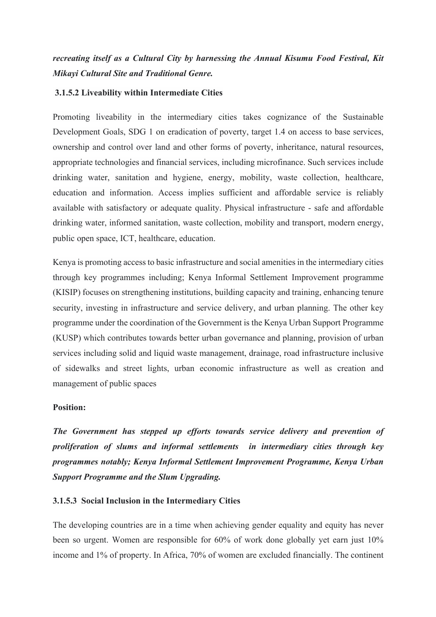# *recreating itself as a Cultural City by harnessing the Annual Kisumu Food Festival, Kit Mikayi Cultural Site and Traditional Genre.*

#### **3.1.5.2 Liveability within Intermediate Cities**

Promoting liveability in the intermediary cities takes cognizance of the Sustainable Development Goals, SDG 1 on eradication of poverty, target 1.4 on access to base services, ownership and control over land and other forms of poverty, inheritance, natural resources, appropriate technologies and financial services, including microfinance. Such services include drinking water, sanitation and hygiene, energy, mobility, waste collection, healthcare, education and information. Access implies sufficient and affordable service is reliably available with satisfactory or adequate quality. Physical infrastructure - safe and affordable drinking water, informed sanitation, waste collection, mobility and transport, modern energy, public open space, ICT, healthcare, education.

Kenya is promoting access to basic infrastructure and social amenities in the intermediary cities through key programmes including; Kenya Informal Settlement Improvement programme (KISIP) focuses on strengthening institutions, building capacity and training, enhancing tenure security, investing in infrastructure and service delivery, and urban planning. The other key programme under the coordination of the Government is the Kenya Urban Support Programme (KUSP) which contributes towards better urban governance and planning, provision of urban services including solid and liquid waste management, drainage, road infrastructure inclusive of sidewalks and street lights, urban economic infrastructure as well as creation and management of public spaces

#### **Position:**

*The Government has stepped up efforts towards service delivery and prevention of proliferation of slums and informal settlements in intermediary cities through key programmes notably; Kenya Informal Settlement Improvement Programme, Kenya Urban Support Programme and the Slum Upgrading.*

#### **3.1.5.3 Social Inclusion in the Intermediary Cities**

The developing countries are in a time when achieving gender equality and equity has never been so urgent. Women are responsible for 60% of work done globally yet earn just 10% income and 1% of property. In Africa, 70% of women are excluded financially. The continent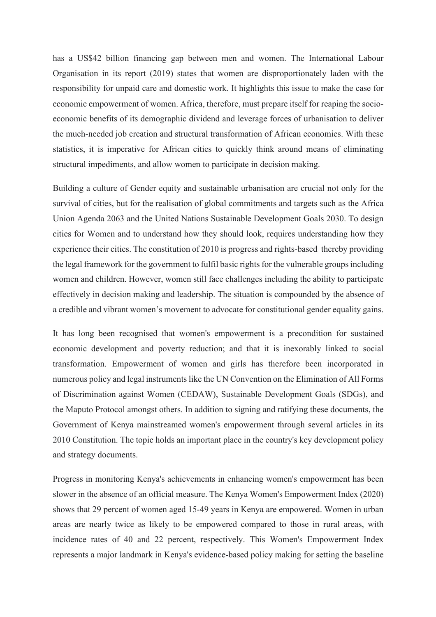has a US\$42 billion financing gap between men and women. The International Labour Organisation in its report (2019) states that women are disproportionately laden with the responsibility for unpaid care and domestic work. It highlights this issue to make the case for economic empowerment of women. Africa, therefore, must prepare itself for reaping the socioeconomic benefits of its demographic dividend and leverage forces of urbanisation to deliver the much-needed job creation and structural transformation of African economies. With these statistics, it is imperative for African cities to quickly think around means of eliminating structural impediments, and allow women to participate in decision making.

Building a culture of Gender equity and sustainable urbanisation are crucial not only for the survival of cities, but for the realisation of global commitments and targets such as the Africa Union Agenda 2063 and the United Nations Sustainable Development Goals 2030. To design cities for Women and to understand how they should look, requires understanding how they experience their cities. The constitution of 2010 is progress and rights-based thereby providing the legal framework for the government to fulfil basic rights for the vulnerable groups including women and children. However, women still face challenges including the ability to participate effectively in decision making and leadership. The situation is compounded by the absence of a credible and vibrant women's movement to advocate for constitutional gender equality gains.

It has long been recognised that women's empowerment is a precondition for sustained economic development and poverty reduction; and that it is inexorably linked to social transformation. Empowerment of women and girls has therefore been incorporated in numerous policy and legal instruments like the UN Convention on the Elimination of All Forms of Discrimination against Women (CEDAW), Sustainable Development Goals (SDGs), and the Maputo Protocol amongst others. In addition to signing and ratifying these documents, the Government of Kenya mainstreamed women's empowerment through several articles in its 2010 Constitution. The topic holds an important place in the country's key development policy and strategy documents.

Progress in monitoring Kenya's achievements in enhancing women's empowerment has been slower in the absence of an official measure. The Kenya Women's Empowerment Index (2020) shows that 29 percent of women aged 15-49 years in Kenya are empowered. Women in urban areas are nearly twice as likely to be empowered compared to those in rural areas, with incidence rates of 40 and 22 percent, respectively. This Women's Empowerment Index represents a major landmark in Kenya's evidence-based policy making for setting the baseline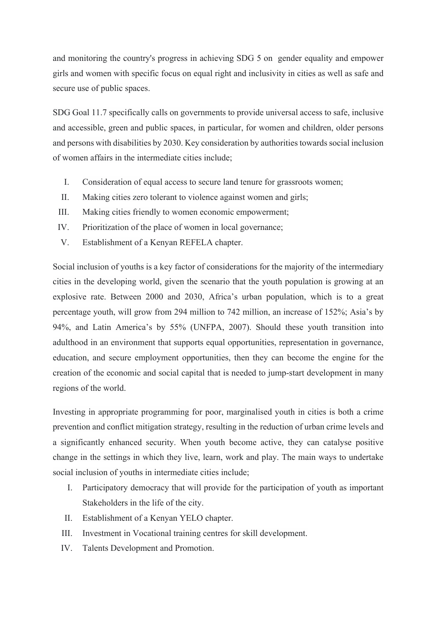and monitoring the country's progress in achieving SDG 5 on gender equality and empower girls and women with specific focus on equal right and inclusivity in cities as well as safe and secure use of public spaces.

SDG Goal 11.7 specifically calls on governments to provide universal access to safe, inclusive and accessible, green and public spaces, in particular, for women and children, older persons and persons with disabilities by 2030. Key consideration by authorities towards social inclusion of women affairs in the intermediate cities include;

- I. Consideration of equal access to secure land tenure for grassroots women;
- II. Making cities zero tolerant to violence against women and girls;
- III. Making cities friendly to women economic empowerment;
- IV. Prioritization of the place of women in local governance;
- V. Establishment of a Kenyan REFELA chapter.

Social inclusion of youths is a key factor of considerations for the majority of the intermediary cities in the developing world, given the scenario that the youth population is growing at an explosive rate. Between 2000 and 2030, Africa's urban population, which is to a great percentage youth, will grow from 294 million to 742 million, an increase of 152%; Asia's by 94%, and Latin America's by 55% (UNFPA, 2007). Should these youth transition into adulthood in an environment that supports equal opportunities, representation in governance, education, and secure employment opportunities, then they can become the engine for the creation of the economic and social capital that is needed to jump-start development in many regions of the world.

Investing in appropriate programming for poor, marginalised youth in cities is both a crime prevention and conflict mitigation strategy, resulting in the reduction of urban crime levels and a significantly enhanced security. When youth become active, they can catalyse positive change in the settings in which they live, learn, work and play. The main ways to undertake social inclusion of youths in intermediate cities include;

- I. Participatory democracy that will provide for the participation of youth as important Stakeholders in the life of the city.
- II. Establishment of a Kenyan YELO chapter.
- III. Investment in Vocational training centres for skill development.
- IV. Talents Development and Promotion.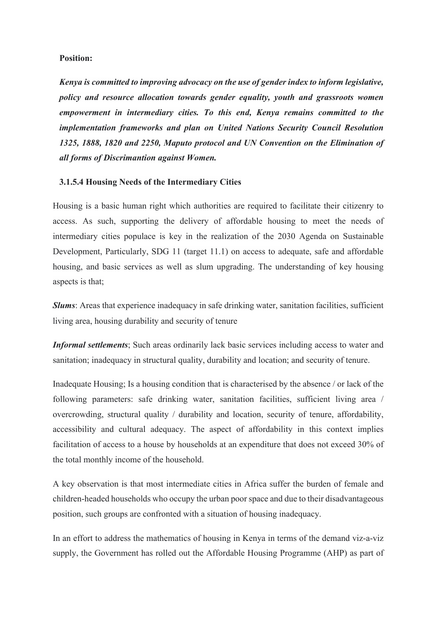#### **Position:**

*Kenya is committed to improving advocacy on the use of gender index to inform legislative, policy and resource allocation towards gender equality, youth and grassroots women empowerment in intermediary cities. To this end, Kenya remains committed to the implementation frameworks and plan on United Nations Security Council Resolution 1325, 1888, 1820 and 2250, Maputo protocol and UN Convention on the Elimination of all forms of Discrimantion against Women.*

#### **3.1.5.4 Housing Needs of the Intermediary Cities**

Housing is a basic human right which authorities are required to facilitate their citizenry to access. As such, supporting the delivery of affordable housing to meet the needs of intermediary cities populace is key in the realization of the 2030 Agenda on Sustainable Development, Particularly, SDG 11 (target 11.1) on access to adequate, safe and affordable housing, and basic services as well as slum upgrading. The understanding of key housing aspects is that;

*Slums*: Areas that experience inadequacy in safe drinking water, sanitation facilities, sufficient living area, housing durability and security of tenure

*Informal settlements*; Such areas ordinarily lack basic services including access to water and sanitation; inadequacy in structural quality, durability and location; and security of tenure.

Inadequate Housing; Is a housing condition that is characterised by the absence / or lack of the following parameters: safe drinking water, sanitation facilities, sufficient living area / overcrowding, structural quality / durability and location, security of tenure, affordability, accessibility and cultural adequacy. The aspect of affordability in this context implies facilitation of access to a house by households at an expenditure that does not exceed 30% of the total monthly income of the household.

A key observation is that most intermediate cities in Africa suffer the burden of female and children-headed households who occupy the urban poor space and due to their disadvantageous position, such groups are confronted with a situation of housing inadequacy.

In an effort to address the mathematics of housing in Kenya in terms of the demand viz-a-viz supply, the Government has rolled out the Affordable Housing Programme (AHP) as part of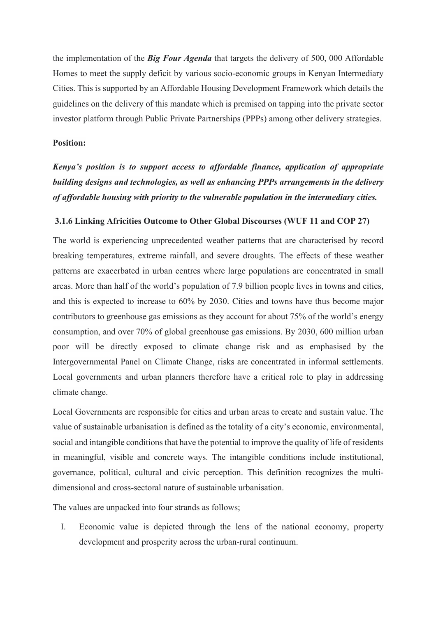the implementation of the *Big Four Agenda* that targets the delivery of 500, 000 Affordable Homes to meet the supply deficit by various socio-economic groups in Kenyan Intermediary Cities. This is supported by an Affordable Housing Development Framework which details the guidelines on the delivery of this mandate which is premised on tapping into the private sector investor platform through Public Private Partnerships (PPPs) among other delivery strategies.

# **Position:**

*Kenya's position is to support access to affordable finance, application of appropriate building designs and technologies, as well as enhancing PPPs arrangements in the delivery of affordable housing with priority to the vulnerable population in the intermediary cities.*

## **3.1.6 Linking Africities Outcome to Other Global Discourses (WUF 11 and COP 27)**

The world is experiencing unprecedented weather patterns that are characterised by record breaking temperatures, extreme rainfall, and severe droughts. The effects of these weather patterns are exacerbated in urban centres where large populations are concentrated in small areas. More than half of the world's population of 7.9 billion people lives in towns and cities, and this is expected to increase to 60% by 2030. Cities and towns have thus become major contributors to greenhouse gas emissions as they account for about 75% of the world's energy consumption, and over 70% of global greenhouse gas emissions. By 2030, 600 million urban poor will be directly exposed to climate change risk and as emphasised by the Intergovernmental Panel on Climate Change, risks are concentrated in informal settlements. Local governments and urban planners therefore have a critical role to play in addressing climate change.

Local Governments are responsible for cities and urban areas to create and sustain value. The value of sustainable urbanisation is defined as the totality of a city's economic, environmental, social and intangible conditions that have the potential to improve the quality of life of residents in meaningful, visible and concrete ways. The intangible conditions include institutional, governance, political, cultural and civic perception. This definition recognizes the multidimensional and cross-sectoral nature of sustainable urbanisation.

The values are unpacked into four strands as follows;

I. Economic value is depicted through the lens of the national economy, property development and prosperity across the urban-rural continuum.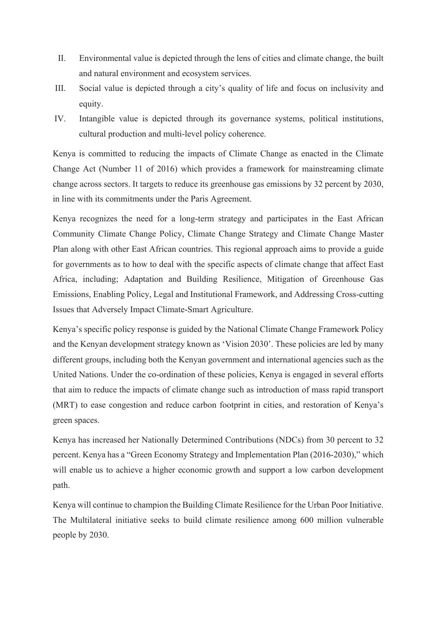- II. Environmental value is depicted through the lens of cities and climate change, the built and natural environment and ecosystem services.
- III. Social value is depicted through a city's quality of life and focus on inclusivity and equity.
- IV. Intangible value is depicted through its governance systems, political institutions, cultural production and multi-level policy coherence.

Kenya is committed to reducing the impacts of Climate Change as enacted in the Climate Change Act (Number 11 of 2016) which provides a framework for mainstreaming climate change across sectors. It targets to reduce its greenhouse gas emissions by 32 percent by 2030, in line with its commitments under the Paris Agreement.

Kenya recognizes the need for a long-term strategy and participates in the East African Community Climate Change Policy, Climate Change Strategy and Climate Change Master Plan along with other East African countries. This regional approach aims to provide a guide for governments as to how to deal with the specific aspects of climate change that affect East Africa, including; Adaptation and Building Resilience, Mitigation of Greenhouse Gas Emissions, Enabling Policy, Legal and Institutional Framework, and Addressing Cross-cutting Issues that Adversely Impact Climate-Smart Agriculture.

Kenya's specific policy response is guided by the National Climate Change Framework Policy and the Kenyan development strategy known as 'Vision 2030'. These policies are led by many different groups, including both the Kenyan government and international agencies such as the United Nations. Under the co-ordination of these policies, Kenya is engaged in several efforts that aim to reduce the impacts of climate change such as introduction of mass rapid transport (MRT) to ease congestion and reduce carbon footprint in cities, and restoration of Kenya's green spaces.

Kenya has increased her Nationally Determined Contributions (NDCs) from 30 percent to 32 percent. Kenya has a "Green Economy Strategy and Implementation Plan (2016-2030)," which will enable us to achieve a higher economic growth and support a low carbon development path.

Kenya will continue to champion the Building Climate Resilience for the Urban Poor Initiative. The Multilateral initiative seeks to build climate resilience among 600 million vulnerable people by 2030.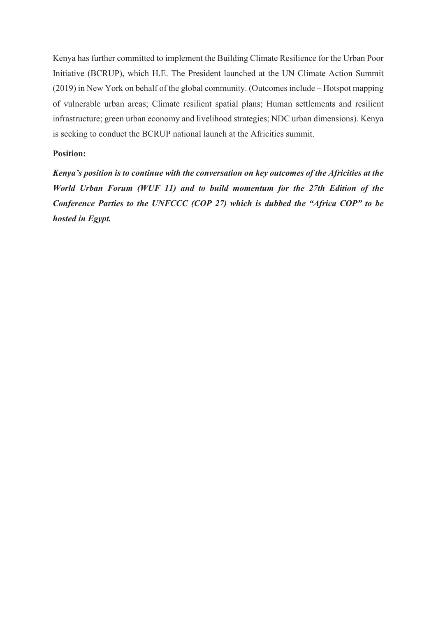Kenya has further committed to implement the Building Climate Resilience for the Urban Poor Initiative (BCRUP), which H.E. The President launched at the UN Climate Action Summit (2019) in New York on behalf of the global community. (Outcomes include – Hotspot mapping of vulnerable urban areas; Climate resilient spatial plans; Human settlements and resilient infrastructure; green urban economy and livelihood strategies; NDC urban dimensions). Kenya is seeking to conduct the BCRUP national launch at the Africities summit.

## **Position:**

*Kenya's position is to continue with the conversation on key outcomes of the Africities at the World Urban Forum (WUF 11) and to build momentum for the 27th Edition of the Conference Parties to the UNFCCC (COP 27) which is dubbed the "Africa COP" to be hosted in Egypt.*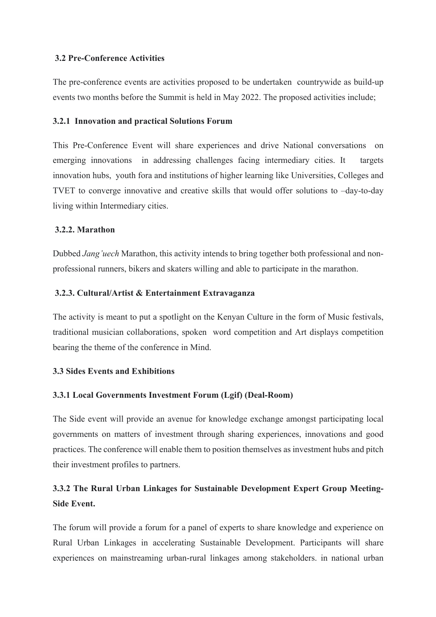# **3.2 Pre-Conference Activities**

The pre-conference events are activities proposed to be undertaken countrywide as build-up events two months before the Summit is held in May 2022. The proposed activities include;

# **3.2.1 Innovation and practical Solutions Forum**

This Pre-Conference Event will share experiences and drive National conversations on emerging innovations in addressing challenges facing intermediary cities. It targets innovation hubs, youth fora and institutions of higher learning like Universities, Colleges and TVET to converge innovative and creative skills that would offer solutions to –day-to-day living within Intermediary cities.

# **3.2.2. Marathon**

Dubbed *Jang'uech* Marathon, this activity intends to bring together both professional and nonprofessional runners, bikers and skaters willing and able to participate in the marathon.

# **3.2.3. Cultural/Artist & Entertainment Extravaganza**

The activity is meant to put a spotlight on the Kenyan Culture in the form of Music festivals, traditional musician collaborations, spoken word competition and Art displays competition bearing the theme of the conference in Mind.

# **3.3 Sides Events and Exhibitions**

# **3.3.1 Local Governments Investment Forum (Lgif) (Deal-Room)**

The Side event will provide an avenue for knowledge exchange amongst participating local governments on matters of investment through sharing experiences, innovations and good practices. The conference will enable them to position themselves as investment hubs and pitch their investment profiles to partners.

# **3.3.2 The Rural Urban Linkages for Sustainable Development Expert Group Meeting-Side Event.**

The forum will provide a forum for a panel of experts to share knowledge and experience on Rural Urban Linkages in accelerating Sustainable Development. Participants will share experiences on mainstreaming urban-rural linkages among stakeholders. in national urban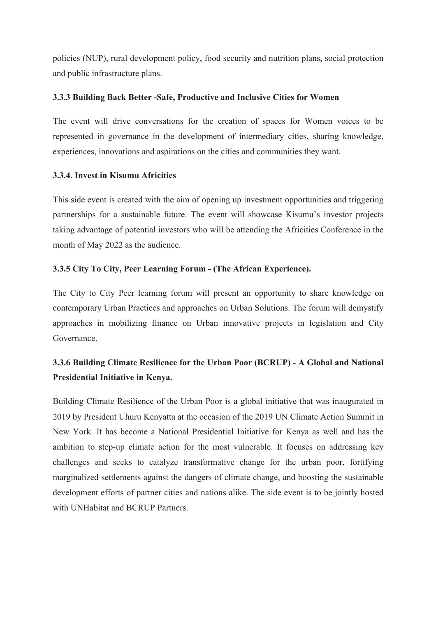policies (NUP), rural development policy, food security and nutrition plans, social protection and public infrastructure plans.

# **3.3.3 Building Back Better -Safe, Productive and Inclusive Cities for Women**

The event will drive conversations for the creation of spaces for Women voices to be represented in governance in the development of intermediary cities, sharing knowledge, experiences, innovations and aspirations on the cities and communities they want.

# **3.3.4. Invest in Kisumu Africities**

This side event is created with the aim of opening up investment opportunities and triggering partnerships for a sustainable future. The event will showcase Kisumu's investor projects taking advantage of potential investors who will be attending the Africities Conference in the month of May 2022 as the audience.

# **3.3.5 City To City, Peer Learning Forum - (The African Experience).**

The City to City Peer learning forum will present an opportunity to share knowledge on contemporary Urban Practices and approaches on Urban Solutions. The forum will demystify approaches in mobilizing finance on Urban innovative projects in legislation and City Governance.

# **3.3.6 Building Climate Resilience for the Urban Poor (BCRUP) - A Global and National Presidential Initiative in Kenya.**

Building Climate Resilience of the Urban Poor is a global initiative that was inaugurated in 2019 by President Uhuru Kenyatta at the occasion of the 2019 UN Climate Action Summit in New York. It has become a National Presidential Initiative for Kenya as well and has the ambition to step-up climate action for the most vulnerable. It focuses on addressing key challenges and seeks to catalyze transformative change for the urban poor, fortifying marginalized settlements against the dangers of climate change, and boosting the sustainable development efforts of partner cities and nations alike. The side event is to be jointly hosted with UNHabitat and BCRUP Partners.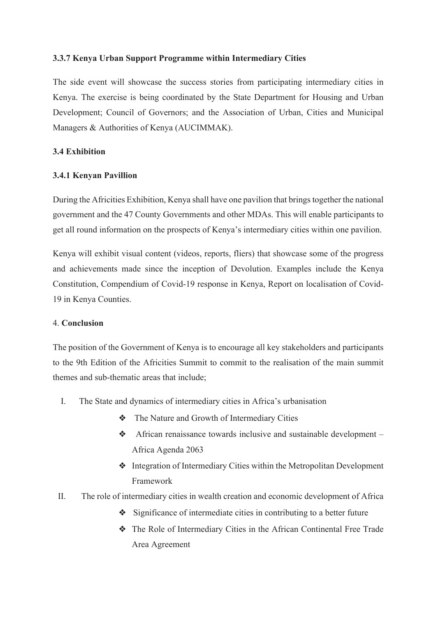# **3.3.7 Kenya Urban Support Programme within Intermediary Cities**

The side event will showcase the success stories from participating intermediary cities in Kenya. The exercise is being coordinated by the State Department for Housing and Urban Development; Council of Governors; and the Association of Urban, Cities and Municipal Managers & Authorities of Kenya (AUCIMMAK).

# **3.4 Exhibition**

# **3.4.1 Kenyan Pavillion**

During the Africities Exhibition, Kenya shall have one pavilion that brings together the national government and the 47 County Governments and other MDAs. This will enable participants to get all round information on the prospects of Kenya's intermediary cities within one pavilion.

Kenya will exhibit visual content (videos, reports, fliers) that showcase some of the progress and achievements made since the inception of Devolution. Examples include the Kenya Constitution, Compendium of Covid-19 response in Kenya, Report on localisation of Covid-19 in Kenya Counties.

## 4. **Conclusion**

The position of the Government of Kenya is to encourage all key stakeholders and participants to the 9th Edition of the Africities Summit to commit to the realisation of the main summit themes and sub-thematic areas that include;

- I. The State and dynamics of intermediary cities in Africa's urbanisation
	- ❖ The Nature and Growth of Intermediary Cities
	- ❖ African renaissance towards inclusive and sustainable development Africa Agenda 2063
	- ❖ Integration of Intermediary Cities within the Metropolitan Development Framework
- II. The role of intermediary cities in wealth creation and economic development of Africa
	- ❖ Significance of intermediate cities in contributing to a better future
	- ❖ The Role of Intermediary Cities in the African Continental Free Trade Area Agreement